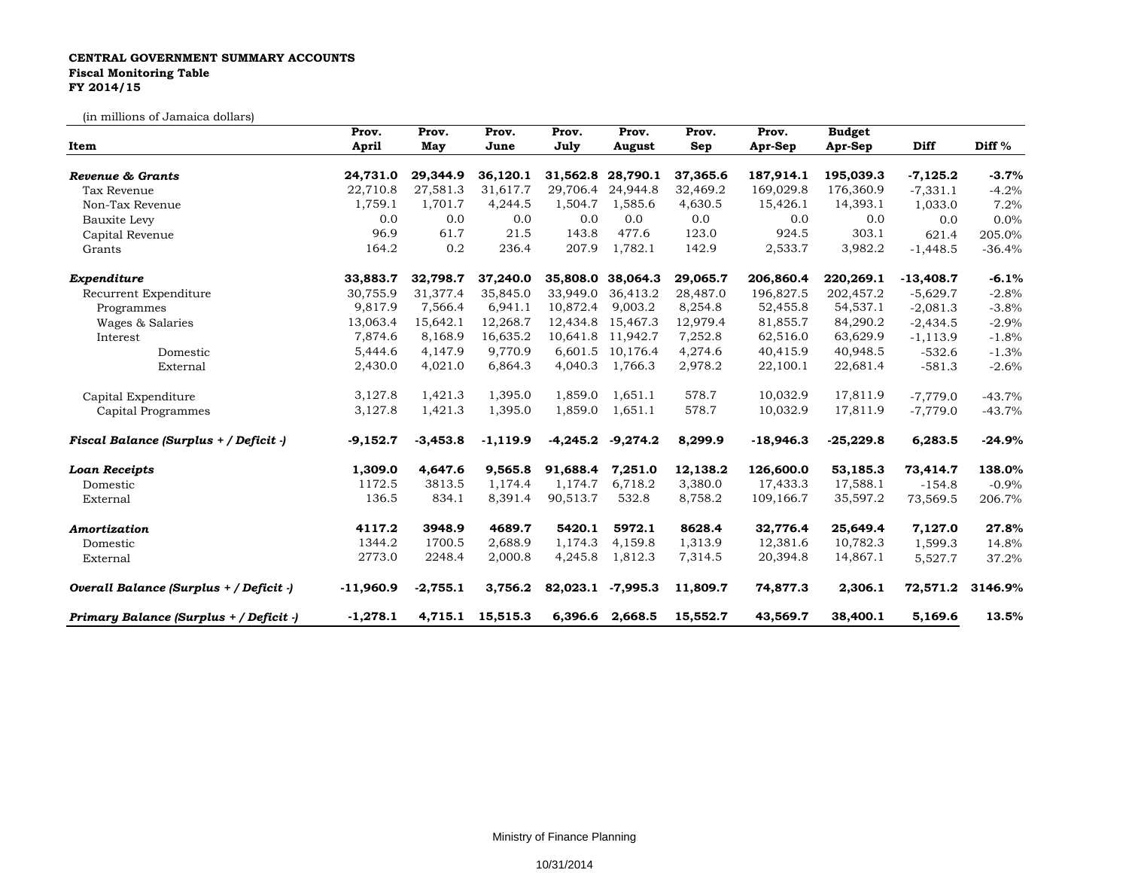## **CENTRAL GOVERNMENT SUMMARY ACCOUNTS Fiscal Monitoring Table FY 2014/15**

(in millions of Jamaica dollars)

| Item                                    | Prov.<br><b>April</b> | Prov.<br>May | Prov.<br>June | Prov.<br>July | Prov.<br>August   | Prov.<br>Sep | Prov.<br>Apr-Sep | <b>Budget</b><br>Apr-Sep | Diff        | Diff %   |
|-----------------------------------------|-----------------------|--------------|---------------|---------------|-------------------|--------------|------------------|--------------------------|-------------|----------|
|                                         |                       |              |               |               |                   |              |                  |                          |             |          |
| Tax Revenue                             | 22,710.8              | 27,581.3     | 31,617.7      | 29,706.4      | 24,944.8          | 32,469.2     | 169,029.8        | 176,360.9                | $-7,331.1$  | $-4.2%$  |
| Non-Tax Revenue                         | 1,759.1               | 1,701.7      | 4,244.5       | 1,504.7       | 1,585.6           | 4,630.5      | 15,426.1         | 14,393.1                 | 1,033.0     | 7.2%     |
| Bauxite Levy                            | 0.0                   | 0.0          | 0.0           | 0.0           | 0.0               | 0.0          | 0.0              | 0.0                      | 0.0         | 0.0%     |
| Capital Revenue                         | 96.9                  | 61.7         | 21.5          | 143.8         | 477.6             | 123.0        | 924.5            | 303.1                    | 621.4       | 205.0%   |
| Grants                                  | 164.2                 | 0.2          | 236.4         | 207.9         | 1,782.1           | 142.9        | 2,533.7          | 3,982.2                  | $-1,448.5$  | $-36.4%$ |
| Expenditure                             | 33,883.7              | 32,798.7     | 37,240.0      |               | 35,808.0 38,064.3 | 29,065.7     | 206,860.4        | 220,269.1                | $-13,408.7$ | $-6.1%$  |
| Recurrent Expenditure                   | 30,755.9              | 31,377.4     | 35,845.0      | 33,949.0      | 36,413.2          | 28,487.0     | 196,827.5        | 202,457.2                | $-5,629.7$  | $-2.8%$  |
| Programmes                              | 9,817.9               | 7,566.4      | 6,941.1       | 10,872.4      | 9,003.2           | 8,254.8      | 52,455.8         | 54,537.1                 | $-2,081.3$  | $-3.8%$  |
| Wages & Salaries                        | 13,063.4              | 15,642.1     | 12,268.7      | 12,434.8      | 15,467.3          | 12,979.4     | 81,855.7         | 84,290.2                 | $-2,434.5$  | $-2.9%$  |
| Interest                                | 7,874.6               | 8,168.9      | 16,635.2      |               | 10,641.8 11,942.7 | 7,252.8      | 62,516.0         | 63,629.9                 | $-1,113.9$  | $-1.8%$  |
| Domestic                                | 5,444.6               | 4,147.9      | 9.770.9       |               | 6,601.5 10,176.4  | 4,274.6      | 40,415.9         | 40,948.5                 | $-532.6$    | $-1.3%$  |
| External                                | 2,430.0               | 4,021.0      | 6,864.3       | 4,040.3       | 1,766.3           | 2,978.2      | 22,100.1         | 22,681.4                 | $-581.3$    | $-2.6%$  |
| Capital Expenditure                     | 3,127.8               | 1,421.3      | 1,395.0       | 1,859.0       | 1,651.1           | 578.7        | 10,032.9         | 17,811.9                 | $-7,779.0$  | $-43.7%$ |
| Capital Programmes                      | 3,127.8               | 1,421.3      | 1,395.0       | 1,859.0       | 1,651.1           | 578.7        | 10,032.9         | 17,811.9                 | $-7,779.0$  | $-43.7%$ |
| Fiscal Balance (Surplus + / Deficit -)  | $-9,152.7$            | $-3,453.8$   | $-1,119.9$    | $-4,245.2$    | $-9,274.2$        | 8,299.9      | $-18,946.3$      | $-25,229.8$              | 6,283.5     | $-24.9%$ |
| <b>Loan Receipts</b>                    | 1,309.0               | 4,647.6      | 9,565.8       | 91,688.4      | 7,251.0           | 12,138.2     | 126,600.0        | 53,185.3                 | 73,414.7    | 138.0%   |
| Domestic                                | 1172.5                | 3813.5       | 1,174.4       | 1,174.7       | 6,718.2           | 3,380.0      | 17,433.3         | 17,588.1                 | $-154.8$    | $-0.9%$  |
| External                                | 136.5                 | 834.1        | 8,391.4       | 90,513.7      | 532.8             | 8,758.2      | 109,166.7        | 35,597.2                 | 73,569.5    | 206.7%   |
| Amortization                            | 4117.2                | 3948.9       | 4689.7        | 5420.1        | 5972.1            | 8628.4       | 32,776.4         | 25,649.4                 | 7,127.0     | 27.8%    |
| Domestic                                | 1344.2                | 1700.5       | 2,688.9       | 1,174.3       | 4,159.8           | 1,313.9      | 12,381.6         | 10,782.3                 | 1,599.3     | 14.8%    |
| External                                | 2773.0                | 2248.4       | 2,000.8       | 4,245.8       | 1,812.3           | 7,314.5      | 20,394.8         | 14,867.1                 | 5,527.7     | 37.2%    |
| Overall Balance (Surplus + / Deficit -) | $-11,960.9$           | $-2,755.1$   | 3,756.2       | 82,023.1      | $-7,995.3$        | 11,809.7     | 74,877.3         | 2,306.1                  | 72,571.2    | 3146.9%  |
| Primary Balance (Surplus + / Deficit -) | $-1,278.1$            | 4,715.1      | 15,515.3      |               | 6,396.6 2,668.5   | 15,552.7     | 43,569.7         | 38,400.1                 | 5,169.6     | 13.5%    |

Ministry of Finance Planning